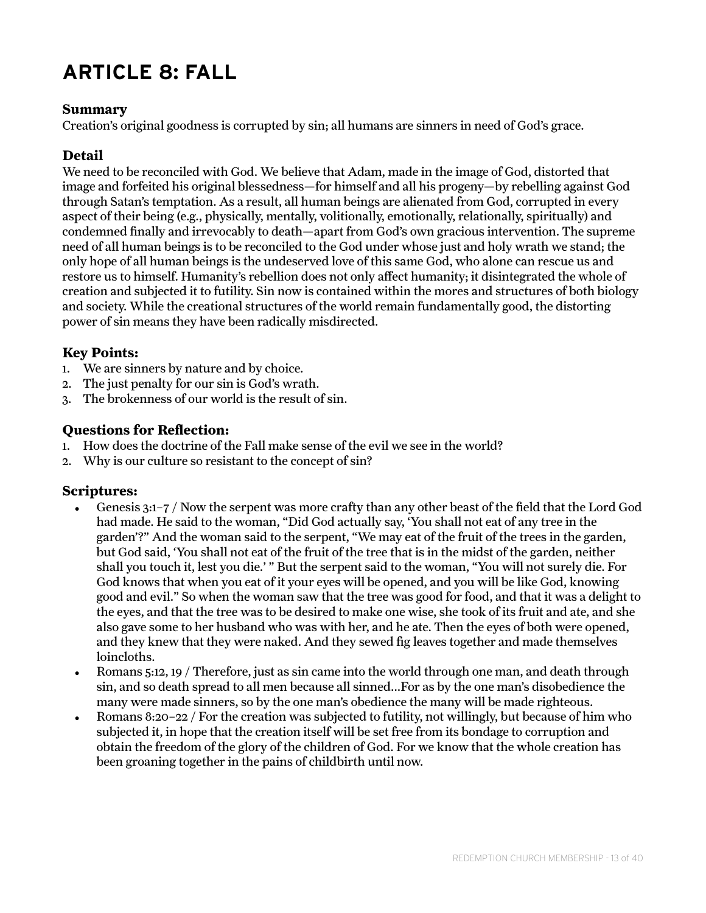# **ARTICLE 8: FALL**

#### **Summary**

Creation's original goodness is corrupted by sin; all humans are sinners in need of God's grace.

### **Detail**

We need to be reconciled with God. We believe that Adam, made in the image of God, distorted that image and forfeited his original blessedness—for himself and all his progeny—by rebelling against God through Satan's temptation. As a result, all human beings are alienated from God, corrupted in every aspect of their being (e.g., physically, mentally, volitionally, emotionally, relationally, spiritually) and condemned finally and irrevocably to death—apart from God's own gracious intervention. The supreme need of all human beings is to be reconciled to the God under whose just and holy wrath we stand; the only hope of all human beings is the undeserved love of this same God, who alone can rescue us and restore us to himself. Humanity's rebellion does not only affect humanity; it disintegrated the whole of creation and subjected it to futility. Sin now is contained within the mores and structures of both biology and society. While the creational structures of the world remain fundamentally good, the distorting power of sin means they have been radically misdirected.

### **Key Points:**

- 1. We are sinners by nature and by choice.
- 2. The just penalty for our sin is God's wrath.
- 3. The brokenness of our world is the result of sin.

### **Questions for Reflection:**

- 1. How does the doctrine of the Fall make sense of the evil we see in the world?
- 2. Why is our culture so resistant to the concept of sin?

#### **Scriptures:**

- Genesis 3:1–7 / Now the serpent was more crafty than any other beast of the field that the Lord God had made. He said to the woman, "Did God actually say, 'You shall not eat of any tree in the garden'?" And the woman said to the serpent, "We may eat of the fruit of the trees in the garden, but God said, 'You shall not eat of the fruit of the tree that is in the midst of the garden, neither shall you touch it, lest you die.' " But the serpent said to the woman, "You will not surely die. For God knows that when you eat of it your eyes will be opened, and you will be like God, knowing good and evil." So when the woman saw that the tree was good for food, and that it was a delight to the eyes, and that the tree was to be desired to make one wise, she took of its fruit and ate, and she also gave some to her husband who was with her, and he ate. Then the eyes of both were opened, and they knew that they were naked. And they sewed fig leaves together and made themselves loincloths.
- Romans 5:12, 19 / Therefore, just as sin came into the world through one man, and death through sin, and so death spread to all men because all sinned...For as by the one man's disobedience the many were made sinners, so by the one man's obedience the many will be made righteous.
- Romans 8:20–22 / For the creation was subjected to futility, not willingly, but because of him who subjected it, in hope that the creation itself will be set free from its bondage to corruption and obtain the freedom of the glory of the children of God. For we know that the whole creation has been groaning together in the pains of childbirth until now.